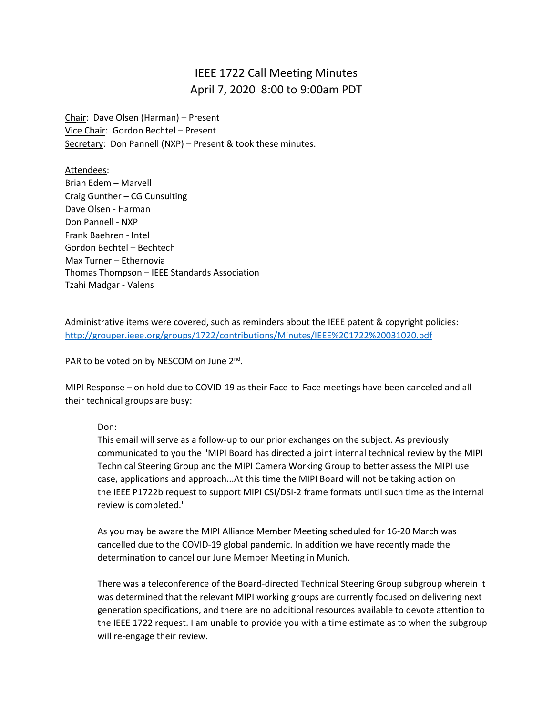## IEEE 1722 Call Meeting Minutes April 7, 2020 8:00 to 9:00am PDT

Chair: Dave Olsen (Harman) – Present Vice Chair: Gordon Bechtel – Present Secretary: Don Pannell (NXP) - Present & took these minutes.

Attendees: Brian Edem – Marvell Craig Gunther – CG Cunsulting Dave Olsen - Harman Don Pannell - NXP Frank Baehren - Intel Gordon Bechtel – Bechtech Max Turner – Ethernovia Thomas Thompson – IEEE Standards Association Tzahi Madgar - Valens

Administrative items were covered, such as reminders about the IEEE patent & copyright policies: <http://grouper.ieee.org/groups/1722/contributions/Minutes/IEEE%201722%20031020.pdf>

PAR to be voted on by NESCOM on June 2<sup>nd</sup>.

MIPI Response – on hold due to COVID-19 as their Face-to-Face meetings have been canceled and all their technical groups are busy:

Don:

This email will serve as a follow-up to our prior exchanges on the subject. As previously communicated to you the "MIPI Board has directed a joint internal technical review by the MIPI Technical Steering Group and the MIPI Camera Working Group to better assess the MIPI use case, applications and approach...At this time the MIPI Board will not be taking action on the IEEE P1722b request to support MIPI CSI/DSI-2 frame formats until such time as the internal review is completed."

As you may be aware the MIPI Alliance Member Meeting scheduled for 16-20 March was cancelled due to the COVID-19 global pandemic. In addition we have recently made the determination to cancel our June Member Meeting in Munich.

There was a teleconference of the Board-directed Technical Steering Group subgroup wherein it was determined that the relevant MIPI working groups are currently focused on delivering next generation specifications, and there are no additional resources available to devote attention to the IEEE 1722 request. I am unable to provide you with a time estimate as to when the subgroup will re-engage their review.